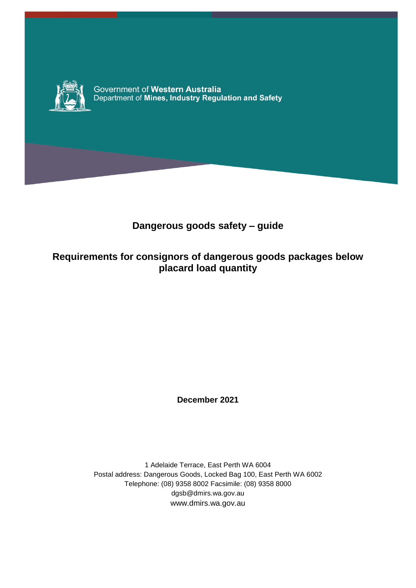

Government of Western Australia Department of Mines, Industry Regulation and Safety

## **Dangerous goods safety – guide**

## **Requirements for consignors of dangerous goods packages below placard load quantity**

**December 2021**

1 Adelaide Terrace, East Perth WA 6004 Postal address: Dangerous Goods, Locked Bag 100, East Perth WA 6002 Telephone: (08) 9358 8002 Facsimile: (08) 9358 8000 dgsb@dmirs.wa.gov.au www.dmirs.wa.gov.au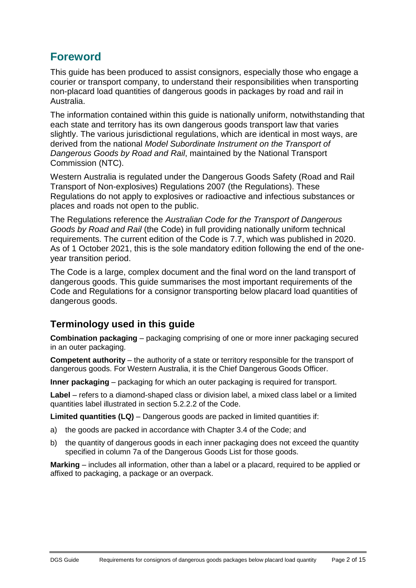## **Foreword**

This guide has been produced to assist consignors, especially those who engage a courier or transport company, to understand their responsibilities when transporting non-placard load quantities of dangerous goods in packages by road and rail in Australia.

The information contained within this guide is nationally uniform, notwithstanding that each state and territory has its own dangerous goods transport law that varies slightly. The various jurisdictional regulations, which are identical in most ways, are derived from the national *Model Subordinate Instrument on the Transport of Dangerous Goods by Road and Rail*, maintained by the National Transport Commission (NTC).

Western Australia is regulated under the Dangerous Goods Safety (Road and Rail Transport of Non-explosives) Regulations 2007 (the Regulations). These Regulations do not apply to explosives or radioactive and infectious substances or places and roads not open to the public.

The Regulations reference the *Australian Code for the Transport of Dangerous Goods by Road and Rail* (the Code) in full providing nationally uniform technical requirements. The current edition of the Code is 7.7, which was published in 2020. As of 1 October 2021, this is the sole mandatory edition following the end of the oneyear transition period.

The Code is a large, complex document and the final word on the land transport of dangerous goods. This guide summarises the most important requirements of the Code and Regulations for a consignor transporting below placard load quantities of dangerous goods.

### **Terminology used in this guide**

**Combination packaging** – packaging comprising of one or more inner packaging secured in an outer packaging.

**Competent authority** – the authority of a state or territory responsible for the transport of dangerous goods. For Western Australia, it is the Chief Dangerous Goods Officer.

**Inner packaging** – packaging for which an outer packaging is required for transport.

**Label** – refers to a diamond-shaped class or division label, a mixed class label or a limited quantities label illustrated in section 5.2.2.2 of the Code.

**Limited quantities (LQ)** – Dangerous goods are packed in limited quantities if:

- a) the goods are packed in accordance with Chapter 3.4 of the Code; and
- b) the quantity of dangerous goods in each inner packaging does not exceed the quantity specified in column 7a of the Dangerous Goods List for those goods.

**Marking** – includes all information, other than a label or a placard, required to be applied or affixed to packaging, a package or an overpack.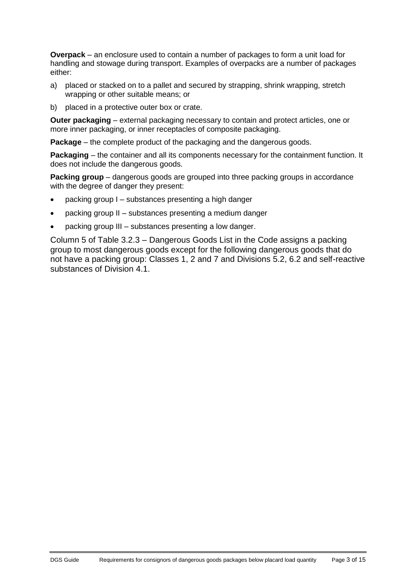**Overpack** – an enclosure used to contain a number of packages to form a unit load for handling and stowage during transport. Examples of overpacks are a number of packages either:

- a) placed or stacked on to a pallet and secured by strapping, shrink wrapping, stretch wrapping or other suitable means; or
- b) placed in a protective outer box or crate.

**Outer packaging** – external packaging necessary to contain and protect articles, one or more inner packaging, or inner receptacles of composite packaging.

**Package** – the complete product of the packaging and the dangerous goods.

**Packaging** – the container and all its components necessary for the containment function. It does not include the dangerous goods.

**Packing group** – dangerous goods are grouped into three packing groups in accordance with the degree of danger they present:

- packing group I substances presenting a high danger
- packing group II substances presenting a medium danger
- packing group III substances presenting a low danger.

Column 5 of Table 3.2.3 – Dangerous Goods List in the Code assigns a packing group to most dangerous goods except for the following dangerous goods that do not have a packing group: Classes 1, 2 and 7 and Divisions 5.2, 6.2 and self-reactive substances of Division 4.1.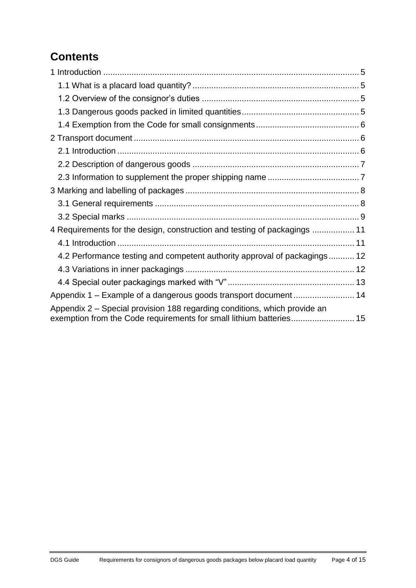# **Contents**

| 4 Requirements for the design, construction and testing of packagings  11                                                                        |  |
|--------------------------------------------------------------------------------------------------------------------------------------------------|--|
|                                                                                                                                                  |  |
| 4.2 Performance testing and competent authority approval of packagings 12                                                                        |  |
|                                                                                                                                                  |  |
|                                                                                                                                                  |  |
| Appendix 1 - Example of a dangerous goods transport document 14                                                                                  |  |
| Appendix 2 – Special provision 188 regarding conditions, which provide an<br>exemption from the Code requirements for small lithium batteries 15 |  |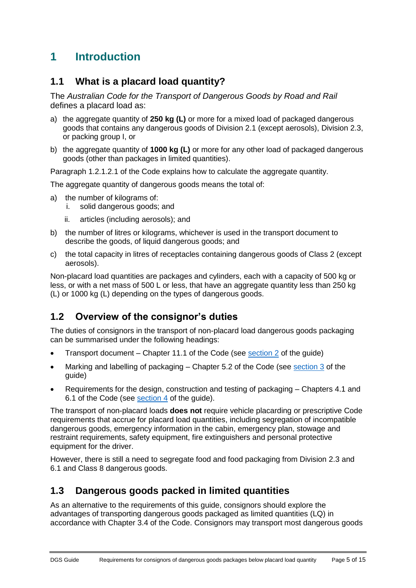## <span id="page-4-0"></span>**1 Introduction**

## <span id="page-4-1"></span>**1.1 What is a placard load quantity?**

The *Australian Code for the Transport of Dangerous Goods by Road and Rail* defines a placard load as:

- a) the aggregate quantity of **250 kg (L)** or more for a mixed load of packaged dangerous goods that contains any dangerous goods of Division 2.1 (except aerosols), Division 2.3, or packing group I, or
- b) the aggregate quantity of **1000 kg (L)** or more for any other load of packaged dangerous goods (other than packages in limited quantities).

Paragraph 1.2.1.2.1 of the Code explains how to calculate the aggregate quantity.

The aggregate quantity of dangerous goods means the total of:

- a) the number of kilograms of:
	- i. solid dangerous goods; and
	- ii. articles (including aerosols); and
- b) the number of litres or kilograms, whichever is used in the transport document to describe the goods, of liquid dangerous goods; and
- c) the total capacity in litres of receptacles containing dangerous goods of Class 2 (except aerosols).

Non-placard load quantities are packages and cylinders, each with a capacity of 500 kg or less, or with a net mass of 500 L or less, that have an aggregate quantity less than 250 kg (L) or 1000 kg (L) depending on the types of dangerous goods.

### <span id="page-4-2"></span>**1.2 Overview of the consignor's duties**

The duties of consignors in the transport of non-placard load dangerous goods packaging can be summarised under the following headings:

- Transport document Chapter 11.1 of the Code (see [section 2](#page-5-1) of the guide)
- Marking and labelling of packaging Chapter 5.2 of the Code (see [section 3](#page-7-0) of the guide)
- Requirements for the design, construction and testing of packaging Chapters 4.1 and 6.1 of the Code (see [section 4](#page-10-0) of the guide).

The transport of non-placard loads **does not** require vehicle placarding or prescriptive Code requirements that accrue for placard load quantities, including segregation of incompatible dangerous goods, emergency information in the cabin, emergency plan, stowage and restraint requirements, safety equipment, fire extinguishers and personal protective equipment for the driver.

However, there is still a need to segregate food and food packaging from Division 2.3 and 6.1 and Class 8 dangerous goods.

### <span id="page-4-3"></span>**1.3 Dangerous goods packed in limited quantities**

As an alternative to the requirements of this guide, consignors should explore the advantages of transporting dangerous goods packaged as limited quantities (LQ) in accordance with Chapter 3.4 of the Code. Consignors may transport most dangerous goods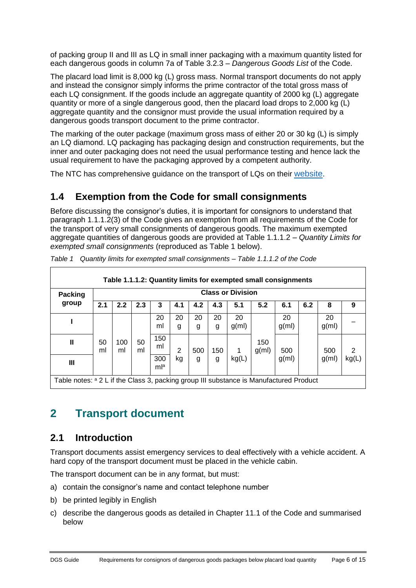of packing group II and III as LQ in small inner packaging with a maximum quantity listed for each dangerous goods in column 7a of Table 3.2.3 – *Dangerous Goods List* of the Code.

The placard load limit is 8,000 kg (L) gross mass. Normal transport documents do not apply and instead the consignor simply informs the prime contractor of the total gross mass of each LQ consignment. If the goods include an aggregate quantity of 2000 kg (L) aggregate quantity or more of a single dangerous good, then the placard load drops to 2,000 kg (L) aggregate quantity and the consignor must provide the usual information required by a dangerous goods transport document to the prime contractor.

The marking of the outer package (maximum gross mass of either 20 or 30 kg (L) is simply an LQ diamond. LQ packaging has packaging design and construction requirements, but the inner and outer packaging does not need the usual performance testing and hence lack the usual requirement to have the packaging approved by a competent authority.

The NTC has comprehensive guidance on the transport of LQs on their [website](https://www.ntc.gov.au/sites/default/files/assets/files/Limited-quantities-guidance-document.pdf).

## <span id="page-5-0"></span>**1.4 Exemption from the Code for small consignments**

Before discussing the consignor's duties, it is important for consignors to understand that paragraph 1.1.1.2(3) of the Code gives an exemption from all requirements of the Code for the transport of very small consignments of dangerous goods. The maximum exempted aggregate quantities of dangerous goods are provided at Table 1.1.1.2 – *Quantity Limits for exempted small consignments* (reproduced as Table 1 below).

| Table 1.1.1.2: Quantity limits for exempted small consignments                                    |                          |           |          |            |                |         |         |             |                 |                |     |                |       |
|---------------------------------------------------------------------------------------------------|--------------------------|-----------|----------|------------|----------------|---------|---------|-------------|-----------------|----------------|-----|----------------|-------|
| <b>Packing</b>                                                                                    | <b>Class or Division</b> |           |          |            |                |         |         |             |                 |                |     |                |       |
| group                                                                                             | 2.1                      | 2.2       | 2.3      | 3          | 4.1            | 4.2     | 4.3     | 5.1         | 5.2             | 6.1            | 6.2 | 8              | 9     |
|                                                                                                   |                          |           |          | 20<br>ml   | 20<br>g        | 20<br>g | 20<br>g | 20<br>g(m)  |                 | 20<br>$g$ (ml) |     | 20<br>$g$ (ml) |       |
| Ш                                                                                                 | 50<br>ml                 | 100<br>ml | 50<br>ml | 150<br>ml  | $\overline{2}$ | 500     | 150     | $\mathbf 1$ | 150<br>$g$ (ml) | 500            |     | 500            |       |
| Ш                                                                                                 |                          |           |          | 300<br>mla | kg             | g       | g       | kg(L)       |                 | $g$ (ml)       |     | $g$ (ml)       | kg(L) |
| Table notes: <sup>a</sup> 2 L if the Class 3, packing group III substance is Manufactured Product |                          |           |          |            |                |         |         |             |                 |                |     |                |       |

*Table 1 Quantity limits for exempted small consignments – Table 1.1.1.2 of the Code*

## <span id="page-5-1"></span>**2 Transport document**

## <span id="page-5-2"></span>**2.1 Introduction**

Transport documents assist emergency services to deal effectively with a vehicle accident. A hard copy of the transport document must be placed in the vehicle cabin.

The transport document can be in any format, but must:

- a) contain the consignor's name and contact telephone number
- b) be printed legibly in English
- c) describe the dangerous goods as detailed in Chapter 11.1 of the Code and summarised below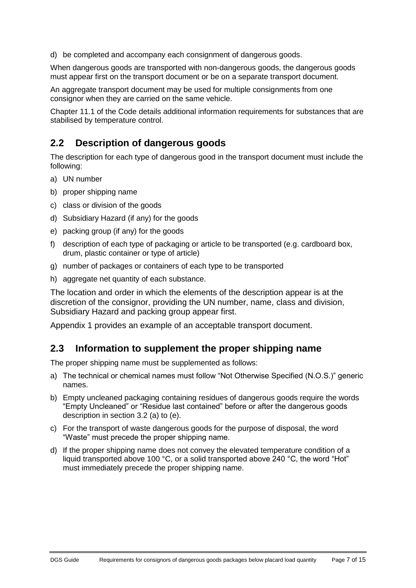d) be completed and accompany each consignment of dangerous goods.

When dangerous goods are transported with non-dangerous goods, the dangerous goods must appear first on the transport document or be on a separate transport document.

An aggregate transport document may be used for multiple consignments from one consignor when they are carried on the same vehicle.

Chapter 11.1 of the Code details additional information requirements for substances that are stabilised by temperature control.

#### <span id="page-6-0"></span>**2.2 Description of dangerous goods**

The description for each type of dangerous good in the transport document must include the following:

- a) UN number
- b) proper shipping name
- c) class or division of the goods
- d) Subsidiary Hazard (if any) for the goods
- e) packing group (if any) for the goods
- f) description of each type of packaging or article to be transported (e.g. cardboard box, drum, plastic container or type of article)
- g) number of packages or containers of each type to be transported
- h) aggregate net quantity of each substance.

The location and order in which the elements of the description appear is at the discretion of the consignor, providing the UN number, name, class and division, Subsidiary Hazard and packing group appear first.

Appendix 1 provides an example of an acceptable transport document.

#### <span id="page-6-1"></span>**2.3 Information to supplement the proper shipping name**

The proper shipping name must be supplemented as follows:

- a) The technical or chemical names must follow "Not Otherwise Specified (N.O.S.)" generic names.
- b) Empty uncleaned packaging containing residues of dangerous goods require the words "Empty Uncleaned" or "Residue last contained" before or after the dangerous goods description in section 3.2 (a) to (e).
- c) For the transport of waste dangerous goods for the purpose of disposal, the word "Waste" must precede the proper shipping name.
- d) If the proper shipping name does not convey the elevated temperature condition of a liquid transported above 100 °C, or a solid transported above 240 °C, the word "Hot" must immediately precede the proper shipping name.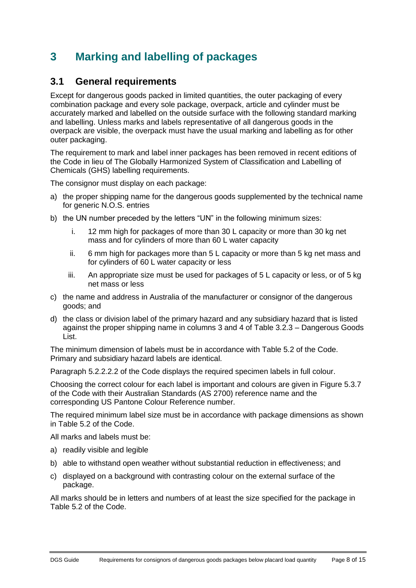## <span id="page-7-0"></span>**3 Marking and labelling of packages**

#### <span id="page-7-1"></span>**3.1 General requirements**

Except for dangerous goods packed in limited quantities, the outer packaging of every combination package and every sole package, overpack, article and cylinder must be accurately marked and labelled on the outside surface with the following standard marking and labelling. Unless marks and labels representative of all dangerous goods in the overpack are visible, the overpack must have the usual marking and labelling as for other outer packaging.

The requirement to mark and label inner packages has been removed in recent editions of the Code in lieu of The Globally Harmonized System of Classification and Labelling of Chemicals (GHS) labelling requirements.

The consignor must display on each package:

- a) the proper shipping name for the dangerous goods supplemented by the technical name for generic N.O.S. entries
- b) the UN number preceded by the letters "UN" in the following minimum sizes:
	- i. 12 mm high for packages of more than 30 L capacity or more than 30 kg net mass and for cylinders of more than 60 L water capacity
	- ii. 6 mm high for packages more than 5 L capacity or more than 5 kg net mass and for cylinders of 60 L water capacity or less
	- iii. An appropriate size must be used for packages of 5 L capacity or less, or of 5 kg net mass or less
- c) the name and address in Australia of the manufacturer or consignor of the dangerous goods; and
- d) the class or division label of the primary hazard and any subsidiary hazard that is listed against the proper shipping name in columns 3 and 4 of Table 3.2.3 – Dangerous Goods List.

The minimum dimension of labels must be in accordance with Table 5.2 of the Code. Primary and subsidiary hazard labels are identical.

Paragraph 5.2.2.2.2 of the Code displays the required specimen labels in full colour.

Choosing the correct colour for each label is important and colours are given in Figure 5.3.7 of the Code with their Australian Standards (AS 2700) reference name and the corresponding US Pantone Colour Reference number.

The required minimum label size must be in accordance with package dimensions as shown in Table 5.2 of the Code.

All marks and labels must be:

- a) readily visible and legible
- b) able to withstand open weather without substantial reduction in effectiveness; and
- c) displayed on a background with contrasting colour on the external surface of the package.

All marks should be in letters and numbers of at least the size specified for the package in Table 5.2 of the Code.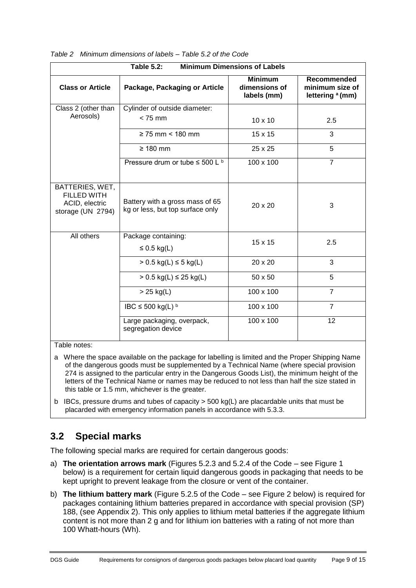| <b>Table 5.2:</b><br><b>Minimum Dimensions of Labels</b>                     |                                                                     |                                                |                                                               |  |  |  |  |
|------------------------------------------------------------------------------|---------------------------------------------------------------------|------------------------------------------------|---------------------------------------------------------------|--|--|--|--|
| <b>Class or Article</b>                                                      | Package, Packaging or Article                                       | <b>Minimum</b><br>dimensions of<br>labels (mm) | Recommended<br>minimum size of<br>lettering <sup>a</sup> (mm) |  |  |  |  |
| Class 2 (other than                                                          | Cylinder of outside diameter:                                       |                                                |                                                               |  |  |  |  |
| Aerosols)                                                                    | $< 75$ mm                                                           | $10 \times 10$                                 | 2.5                                                           |  |  |  |  |
|                                                                              | $\geq$ 75 mm < 180 mm                                               | 15 x 15                                        | 3                                                             |  |  |  |  |
|                                                                              | $\geq 180$ mm                                                       | 25 x 25                                        | 5                                                             |  |  |  |  |
|                                                                              | Pressure drum or tube $\leq$ 500 L $^{\rm b}$                       | 100 x 100                                      | $\overline{7}$                                                |  |  |  |  |
| BATTERIES, WET,<br><b>FILLED WITH</b><br>ACID, electric<br>storage (UN 2794) | Battery with a gross mass of 65<br>kg or less, but top surface only | 20 x 20                                        | 3                                                             |  |  |  |  |
| All others                                                                   | Package containing:<br>$\leq$ 0.5 kg(L)                             | 15 x 15                                        | 2.5                                                           |  |  |  |  |
|                                                                              | $> 0.5$ kg(L) ≤ 5 kg(L)                                             | 20 x 20                                        | 3                                                             |  |  |  |  |
|                                                                              | $> 0.5$ kg(L) $\leq 25$ kg(L)                                       | 50 x 50                                        | 5                                                             |  |  |  |  |
|                                                                              | $>$ 25 kg(L)                                                        | 100 x 100                                      | $\overline{7}$                                                |  |  |  |  |
|                                                                              | IBC $\leq$ 500 kg(L) $\frac{b}{c}$                                  | 100 x 100                                      | $\overline{7}$                                                |  |  |  |  |
| $\mathbf{r}$ and $\mathbf{r}$                                                | Large packaging, overpack,<br>segregation device                    | 100 x 100                                      | 12                                                            |  |  |  |  |

*Table 2 Minimum dimensions of labels – Table 5.2 of the Code*

#### Table notes:

- a Where the space available on the package for labelling is limited and the Proper Shipping Name of the dangerous goods must be supplemented by a Technical Name (where special provision 274 is assigned to the particular entry in the Dangerous Goods List), the minimum height of the letters of the Technical Name or names may be reduced to not less than half the size stated in this table or 1.5 mm, whichever is the greater.
- b IBCs, pressure drums and tubes of capacity > 500 kg(L) are placardable units that must be placarded with emergency information panels in accordance with 5.3.3.

### <span id="page-8-0"></span>**3.2 Special marks**

The following special marks are required for certain dangerous goods:

- a) **The orientation arrows mark** (Figures 5.2.3 and 5.2.4 of the Code see Figure 1 below) is a requirement for certain liquid dangerous goods in packaging that needs to be kept upright to prevent leakage from the closure or vent of the container.
- b) **The lithium battery mark** (Figure 5.2.5 of the Code see Figure 2 below) is required for packages containing lithium batteries prepared in accordance with special provision (SP) 188, (see Appendix 2). This only applies to lithium metal batteries if the aggregate lithium content is not more than 2 g and for lithium ion batteries with a rating of not more than 100 Whatt-hours (Wh).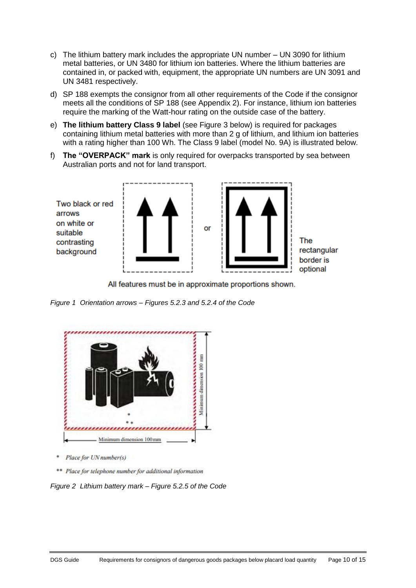- c) The lithium battery mark includes the appropriate UN number UN 3090 for lithium metal batteries, or UN 3480 for lithium ion batteries. Where the lithium batteries are contained in, or packed with, equipment, the appropriate UN numbers are UN 3091 and UN 3481 respectively.
- d) SP 188 exempts the consignor from all other requirements of the Code if the consignor meets all the conditions of SP 188 (see Appendix 2). For instance, lithium ion batteries require the marking of the Watt-hour rating on the outside case of the battery.
- e) **The lithium battery Class 9 label** (see Figure 3 below) is required for packages containing lithium metal batteries with more than 2 g of lithium, and lithium ion batteries with a rating higher than 100 Wh. The Class 9 label (model No. 9A) is illustrated below.
- f) **The "OVERPACK" mark** is only required for overpacks transported by sea between Australian ports and not for land transport.



All features must be in approximate proportions shown.

*Figure 1 Orientation arrows – Figures 5.2.3 and 5.2.4 of the Code*



- \* Place for UN number(s)
- \*\* Place for telephone number for additional information

*Figure 2 Lithium battery mark – Figure 5.2.5 of the Code*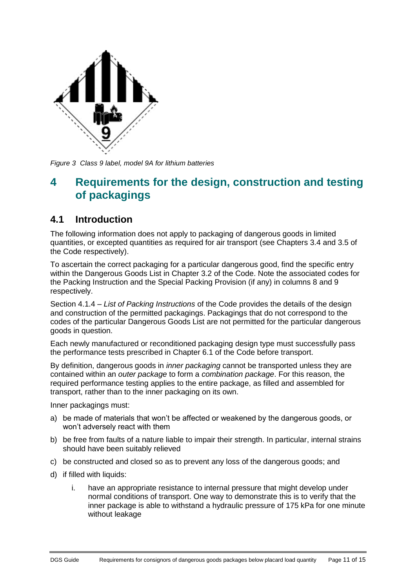

*Figure 3 Class 9 label, model 9A for lithium batteries*

## <span id="page-10-0"></span>**4 Requirements for the design, construction and testing of packagings**

#### <span id="page-10-1"></span>**4.1 Introduction**

The following information does not apply to packaging of dangerous goods in limited quantities, or excepted quantities as required for air transport (see Chapters 3.4 and 3.5 of the Code respectively).

To ascertain the correct packaging for a particular dangerous good, find the specific entry within the Dangerous Goods List in Chapter 3.2 of the Code. Note the associated codes for the Packing Instruction and the Special Packing Provision (if any) in columns 8 and 9 respectively.

Section 4.1.4 – *List of Packing Instructions* of the Code provides the details of the design and construction of the permitted packagings. Packagings that do not correspond to the codes of the particular Dangerous Goods List are not permitted for the particular dangerous goods in question.

Each newly manufactured or reconditioned packaging design type must successfully pass the performance tests prescribed in Chapter 6.1 of the Code before transport.

By definition, dangerous goods in *inner packaging* cannot be transported unless they are contained within an *outer package* to form a *combination package*. For this reason, the required performance testing applies to the entire package, as filled and assembled for transport, rather than to the inner packaging on its own.

Inner packagings must:

- a) be made of materials that won't be affected or weakened by the dangerous goods, or won't adversely react with them
- b) be free from faults of a nature liable to impair their strength. In particular, internal strains should have been suitably relieved
- c) be constructed and closed so as to prevent any loss of the dangerous goods; and
- d) if filled with liquids:
	- i. have an appropriate resistance to internal pressure that might develop under normal conditions of transport. One way to demonstrate this is to verify that the inner package is able to withstand a hydraulic pressure of 175 kPa for one minute without leakage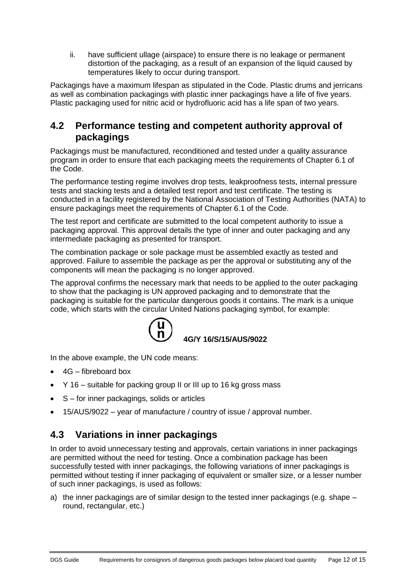ii. have sufficient ullage (airspace) to ensure there is no leakage or permanent distortion of the packaging, as a result of an expansion of the liquid caused by temperatures likely to occur during transport.

Packagings have a maximum lifespan as stipulated in the Code. Plastic drums and jerricans as well as combination packagings with plastic inner packagings have a life of five years. Plastic packaging used for nitric acid or hydrofluoric acid has a life span of two years.

#### <span id="page-11-0"></span>**4.2 Performance testing and competent authority approval of packagings**

Packagings must be manufactured, reconditioned and tested under a quality assurance program in order to ensure that each packaging meets the requirements of Chapter 6.1 of the Code.

The performance testing regime involves drop tests, leakproofness tests, internal pressure tests and stacking tests and a detailed test report and test certificate. The testing is conducted in a facility registered by the National Association of Testing Authorities (NATA) to ensure packagings meet the requirements of Chapter 6.1 of the Code.

The test report and certificate are submitted to the local competent authority to issue a packaging approval. This approval details the type of inner and outer packaging and any intermediate packaging as presented for transport.

The combination package or sole package must be assembled exactly as tested and approved. Failure to assemble the package as per the approval or substituting any of the components will mean the packaging is no longer approved.

The approval confirms the necessary mark that needs to be applied to the outer packaging to show that the packaging is UN approved packaging and to demonstrate that the packaging is suitable for the particular dangerous goods it contains. The mark is a unique code, which starts with the circular United Nations packaging symbol, for example:



In the above example, the UN code means:

- $\bullet$  4G fibreboard box
- Y 16 suitable for packing group II or III up to 16 kg gross mass
- S for inner packagings, solids or articles
- 15/AUS/9022 year of manufacture / country of issue / approval number.

## <span id="page-11-1"></span>**4.3 Variations in inner packagings**

In order to avoid unnecessary testing and approvals, certain variations in inner packagings are permitted without the need for testing. Once a combination package has been successfully tested with inner packagings, the following variations of inner packagings is permitted without testing if inner packaging of equivalent or smaller size, or a lesser number of such inner packagings, is used as follows:

a) the inner packagings are of similar design to the tested inner packagings (e.g. shape – round, rectangular, etc.)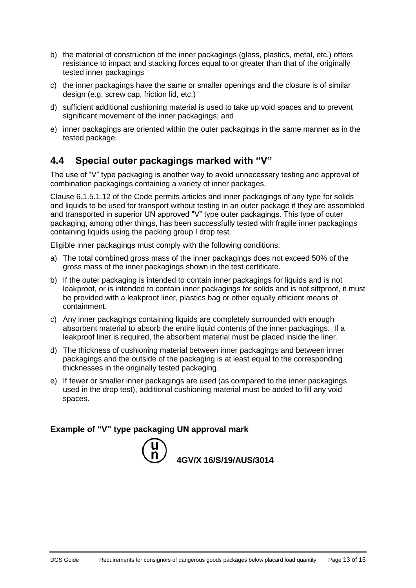- b) the material of construction of the inner packagings (glass, plastics, metal, etc.) offers resistance to impact and stacking forces equal to or greater than that of the originally tested inner packagings
- c) the inner packagings have the same or smaller openings and the closure is of similar design (e.g. screw cap, friction lid, etc.)
- d) sufficient additional cushioning material is used to take up void spaces and to prevent significant movement of the inner packagings; and
- e) inner packagings are oriented within the outer packagings in the same manner as in the tested package.

### <span id="page-12-0"></span>**4.4 Special outer packagings marked with "V"**

The use of "V" type packaging is another way to avoid unnecessary testing and approval of combination packagings containing a variety of inner packages.

Clause 6.1.5.1.12 of the Code permits articles and inner packagings of any type for solids and liquids to be used for transport without testing in an outer package if they are assembled and transported in superior UN approved "V" type outer packagings. This type of outer packaging, among other things, has been successfully tested with fragile inner packagings containing liquids using the packing group I drop test.

Eligible inner packagings must comply with the following conditions:

- a) The total combined gross mass of the inner packagings does not exceed 50% of the gross mass of the inner packagings shown in the test certificate.
- b) If the outer packaging is intended to contain inner packagings for liquids and is not leakproof, or is intended to contain inner packagings for solids and is not siftproof, it must be provided with a leakproof liner, plastics bag or other equally efficient means of containment.
- c) Any inner packagings containing liquids are completely surrounded with enough absorbent material to absorb the entire liquid contents of the inner packagings. If a leakproof liner is required, the absorbent material must be placed inside the liner.
- d) The thickness of cushioning material between inner packagings and between inner packagings and the outside of the packaging is at least equal to the corresponding thicknesses in the originally tested packaging.
- e) If fewer or smaller inner packagings are used (as compared to the inner packagings used in the drop test), additional cushioning material must be added to fill any void spaces.

#### **Example of "V" type packaging UN approval mark**

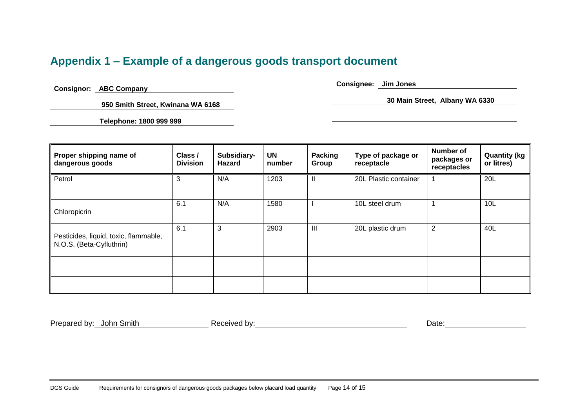## **Appendix 1 – Example of a dangerous goods transport document**

**Consignor: ABC Company** 

 **950 Smith Street, Kwinana WA 6168** 

**Telephone: 1800 999 999** 

**Consignee: Jim Jones** 

**30 Main Street, Albany WA 6330** 

<span id="page-13-0"></span>

| Proper shipping name of<br>dangerous goods                        | Class /<br><b>Division</b> | Subsidiary-<br>Hazard | UN<br>number | <b>Packing</b><br>Group | Type of package or<br>receptacle | Number of<br>packages or<br>receptacles | <b>Quantity (kg</b><br>or litres) |
|-------------------------------------------------------------------|----------------------------|-----------------------|--------------|-------------------------|----------------------------------|-----------------------------------------|-----------------------------------|
| Petrol                                                            | 3                          | N/A                   | 1203         | $\mathbf{I}$            | 20L Plastic container            |                                         | 20L                               |
| Chloropicrin                                                      | 6.1                        | N/A                   | 1580         |                         | 10L steel drum                   |                                         | 10L                               |
| Pesticides, liquid, toxic, flammable,<br>N.O.S. (Beta-Cyfluthrin) | 6.1                        | 3                     | 2903         | III                     | 20L plastic drum                 | 2                                       | 40L                               |
|                                                                   |                            |                       |              |                         |                                  |                                         |                                   |
|                                                                   |                            |                       |              |                         |                                  |                                         |                                   |

Prepared by: John Smith **Received by:** Received by: **Date:** Date: